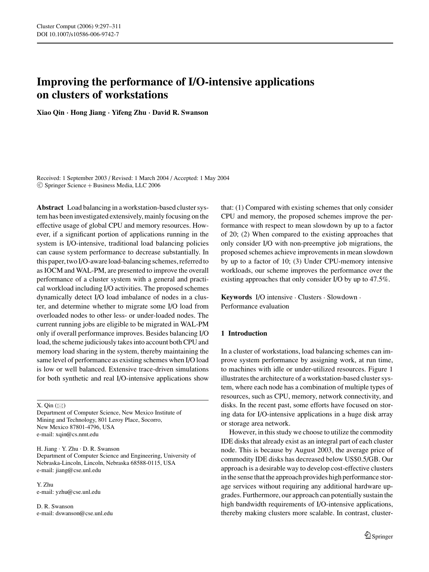# **Improving the performance of I/O-intensive applications on clusters of workstations**

**Xiao Qin** *·* **Hong Jiang** *·* **Yifeng Zhu** *·* **David R. Swanson**

Received: 1 September 2003 / Revised: 1 March 2004 / Accepted: 1 May 2004 -<sup>C</sup> Springer Science + Business Media, LLC 2006

**Abstract** Load balancing in a workstation-based cluster system has been investigated extensively, mainly focusing on the effective usage of global CPU and memory resources. However, if a significant portion of applications running in the system is I/O-intensive, traditional load balancing policies can cause system performance to decrease substantially. In this paper, two I/O-aware load-balancing schemes, referred to as IOCM and WAL-PM, are presented to improve the overall performance of a cluster system with a general and practical workload including I/O activities. The proposed schemes dynamically detect I/O load imbalance of nodes in a cluster, and determine whether to migrate some I/O load from overloaded nodes to other less- or under-loaded nodes. The current running jobs are eligible to be migrated in WAL-PM only if overall performance improves. Besides balancing I/O load, the scheme judiciously takes into account both CPU and memory load sharing in the system, thereby maintaining the same level of performance as existing schemes when I/O load is low or well balanced. Extensive trace-driven simulations for both synthetic and real I/O-intensive applications show

 $X.$  Qin  $(\boxtimes)$ 

H. Jiang . Y. Zhu . D. R. Swanson Department of Computer Science and Engineering, University of Nebraska-Lincoln, Lincoln, Nebraska 68588-0115, USA e-mail: jiang@cse.unl.edu

Y. Zhu e-mail: yzhu@cse.unl.edu

D. R. Swanson e-mail: dswanson@cse.unl.edu

that: (1) Compared with existing schemes that only consider CPU and memory, the proposed schemes improve the performance with respect to mean slowdown by up to a factor of 20; (2) When compared to the existing approaches that only consider I/O with non-preemptive job migrations, the proposed schemes achieve improvements in mean slowdown by up to a factor of 10; (3) Under CPU-memory intensive workloads, our scheme improves the performance over the existing approaches that only consider I/O by up to 47.5%.

**Keywords** I/O intensive . Clusters . Slowdown . Performance evaluation

# **1 Introduction**

In a cluster of workstations, load balancing schemes can improve system performance by assigning work, at run time, to machines with idle or under-utilized resources. Figure 1 illustrates the architecture of a workstation-based cluster system, where each node has a combination of multiple types of resources, such as CPU, memory, network connectivity, and disks. In the recent past, some efforts have focused on storing data for I/O-intensive applications in a huge disk array or storage area network.

However, in this study we choose to utilize the commodity IDE disks that already exist as an integral part of each cluster node. This is because by August 2003, the average price of commodity IDE disks has decreased below US\$0.5/GB. Our approach is a desirable way to develop cost-effective clusters in the sense that the approach provides high performance storage services without requiring any additional hardware upgrades. Furthermore, our approach can potentially sustain the high bandwidth requirements of I/O-intensive applications, thereby making clusters more scalable. In contrast, cluster-

Department of Computer Science, New Mexico Institute of Mining and Technology, 801 Leroy Place, Socorro, New Mexico 87801-4796, USA e-mail: xqin@cs.nmt.edu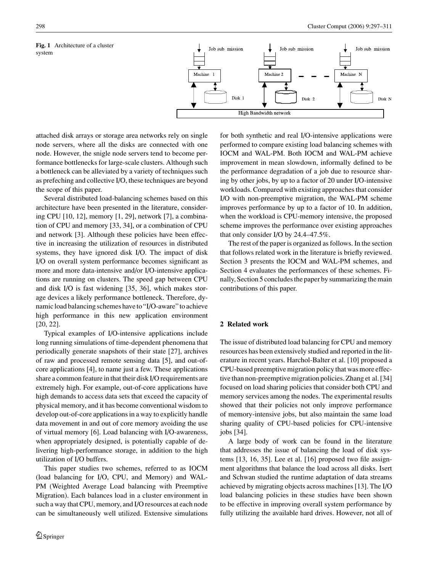



attached disk arrays or storage area networks rely on single node servers, where all the disks are connected with one node. However, the snigle node servers tend to become performance bottlenecks for large-scale clusters. Although such a bottleneck can be alleviated by a variety of techniques such as prefeching and collective I/O, these techniques are beyond the scope of this paper.

Several distributed load-balancing schemes based on this architecture have been presented in the literature, considering CPU [10, 12], memory [1, 29], network [7], a combination of CPU and memory [33, 34], or a combination of CPU and network [3]. Although these policies have been effective in increasing the utilization of resources in distributed systems, they have ignored disk I/O. The impact of disk I/O on overall system performance becomes significant as more and more data-intensive and/or I/O-intensive applications are running on clusters. The speed gap between CPU and disk I/O is fast widening [35, 36], which makes storage devices a likely performance bottleneck. Therefore, dynamic load balancing schemes have to "I/O-aware" to achieve high performance in this new application environment [20, 22].

Typical examples of I/O-intensive applications include long running simulations of time-dependent phenomena that periodically generate snapshots of their state [27], archives of raw and processed remote sensing data [5], and out-ofcore applications [4], to name just a few. These applications share a common feature in that their disk I/O requirements are extremely high. For example, out-of-core applications have high demands to access data sets that exceed the capacity of physical memory, and it has become conventional wisdom to develop out-of-core applications in a way to explicitly handle data movement in and out of core memory avoiding the use of virtual memory [6]. Load balancing with I/O-awareness, when appropriately designed, is potentially capable of delivering high-performance storage, in addition to the high utilization of I/O buffers.

This paper studies two schemes, referred to as IOCM (load balancing for I/O, CPU, and Memory) and WAL-PM (Weighted Average Load balancing with Preemptive Migration). Each balances load in a cluster environment in such a way that CPU, memory, and I/O resources at each node can be simultaneously well utilized. Extensive simulations

for both synthetic and real I/O-intensive applications were performed to compare existing load balancing schemes with IOCM and WAL-PM. Both IOCM and WAL-PM achieve improvement in mean slowdown, informally defined to be the performance degradation of a job due to resource sharing by other jobs, by up to a factor of 20 under I/O-intensive workloads. Compared with existing approaches that consider I/O with non-preemptive migration, the WAL-PM scheme improves performance by up to a factor of 10. In addition, when the workload is CPU-memory intensive, the proposed scheme improves the performance over existing approaches that only consider I/O by 24.4–47.5%.

The rest of the paper is organized as follows. In the section that follows related work in the literature is briefly reviewed. Section 3 presents the IOCM and WAL-PM schemes, and Section 4 evaluates the performances of these schemes. Finally, Section 5 concludes the paper by summarizing the main contributions of this paper.

# **2 Related work**

The issue of distributed load balancing for CPU and memory resources has been extensively studied and reported in the literature in recent years. Harchol-Balter et al. [10] proposed a CPU-based preemptive migration policy that was more effective than non-preemptive migration policies. Zhang et al. [34] focused on load sharing policies that consider both CPU and memory services among the nodes. The experimental results showed that their policies not only improve performance of memory-intensive jobs, but also maintain the same load sharing quality of CPU-based policies for CPU-intensive jobs [34].

A large body of work can be found in the literature that addresses the issue of balancing the load of disk systems [13, 16, 35]. Lee et al. [16] proposed two file assignment algorithms that balance the load across all disks. Isert and Schwan studied the runtime adaptation of data streams achieved by migrating objects across machines [13]. The I/O load balancing policies in these studies have been shown to be effective in improving overall system performance by fully utilizing the available hard drives. However, not all of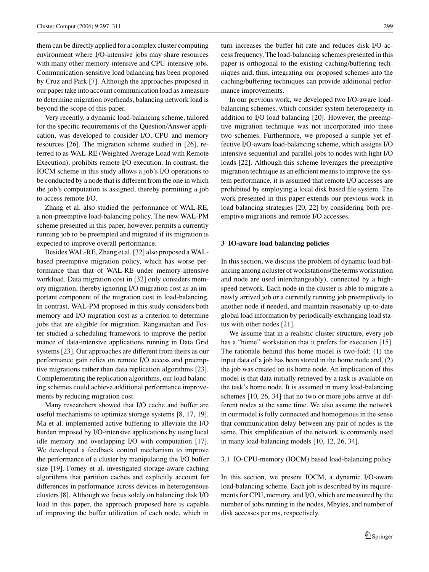them can be directly applied for a complex cluster computing environment where I/O-intensive jobs may share resources with many other memory-intensive and CPU-intensive jobs. Communication-sensitive load balancing has been proposed by Cruz and Park [7]. Although the approaches proposed in our paper take into account communication load as a measure to determine migration overheads, balancing network load is beyond the scope of this paper.

Very recently, a dynamic load-balancing scheme, tailored for the specific requirements of the Question/Answer application, was developed to consider I/O, CPU and memory resources [26]. The migration scheme studied in [26], referred to as WAL-RE (Weighted Average Load with Remote Execution), prohibits remote I/O execution. In contrast, the IOCM scheme in this study allows a job's I/O operations to be conducted by a node that is different from the one in which the job's computation is assigned, thereby permitting a job to access remote I/O.

Zhang et al. also studied the performance of WAL-RE, a non-preemptive load-balancing policy. The new WAL-PM scheme presented in this paper, however, permits a currently running job to be preempted and migrated if its migration is expected to improve overall performance.

Besides WAL-RE, Zhang et al. [32] also proposed a WALbased preemptive migration policy, which has worse performance than that of WAL-RE under memory-intensive workload. Data migration cost in [32] only considers memory migration, thereby ignoring I/O migration cost as an important component of the migration cost in load-balancing. In contrast, WAL-PM proposed in this study considers both memory and I/O migration cost as a criterion to determine jobs that are eligible for migration. Ranganathan and Foster studied a scheduling framework to improve the performance of data-intensive applications running in Data Grid systems [23]. Our approaches are different from theirs as our performance gain relies on remote I/O access and preemptive migrations rather than data replication algorithms [23]. Complememting the replication algorithms, our load balancing schemes could achieve additional performance improvements by reducing migration cost.

Many researchers showed that I/O cache and buffer are useful mechanisms to optimize storage systems [8, 17, 19]. Ma et al. implemented active buffering to alleviate the I/O burden imposed by I/O-intensive applications by using local idle memory and overlapping I/O with computation [17]. We developed a feedback control mechanism to improve the performance of a cluster by manipulating the I/O buffer size [19]. Forney et al. investigated storage-aware caching algorithms that partition caches and explicitly account for differences in performance across devices in heterogeneous clusters [8]. Although we focus solely on balancing disk I/O load in this paper, the approach proposed here is capable of improving the buffer utilization of each node, which in

turn increases the buffer hit rate and reduces disk I/O access frequency. The load-balancing schemes presented in this paper is orthogonal to the existing caching/buffering techniques and, thus, integrating our proposed schemes into the caching/buffering techniques can provide additional performance improvements.

In our previous work, we developed two I/O-aware loadbalancing schemes, which consider system heterogeneity in addition to I/O load balancing [20]. However, the preemptive migration technique was not incorporated into these two schemes. Furthermore, we proposed a simple yet effective I/O-aware load-balancing scheme, which assigns I/O intensive sequential and parallel jobs to nodes with light I/O loads [22]. Although this scheme leverages the preemptive migration technique as an efficient means to improve the system performance, it is assumed that remote I/O accesses are prohibited by employing a local disk based file system. The work presented in this paper extends our previous work in load balancing strategies [20, 22] by considering both preemptive migrations and remote I/O accesses.

#### **3 IO-aware load balancing policies**

In this section, we discuss the problem of dynamic load balancing among a cluster of workstations(the terms workstation and node are used interchangeably), connected by a highspeed network. Each node in the cluster is able to migrate a newly arrived job or a currently running job preemptively to another node if needed, and maintain reasonably up-to-date global load information by periodically exchanging load status with other nodes [21].

We assume that in a realistic cluster structure, every job has a "home" workstation that it prefers for execution [15]. The rationale behind this home model is two-fold: (1) the input data of a job has been stored in the home node and, (2) the job was created on its home node. An implication of this model is that data initially retrieved by a task is available on the task's home node. It is assumed in many load-balancing schemes [10, 26, 34] that no two or more jobs arrive at different nodes at the same time. We also assume the network in our model is fully connected and homogenous in the sense that communication delay between any pair of nodes is the same. This simplification of the network is commonly used in many load-balancing models [10, 12, 26, 34].

# 3.1 IO-CPU-memory (IOCM) based load-balancing policy

In this section, we present IOCM, a dynamic I/O-aware load-balancing scheme. Each job is described by its requirements for CPU, memory, and I/O, which are measured by the number of jobs running in the nodes, Mbytes, and number of disk accesses per ms, respectively.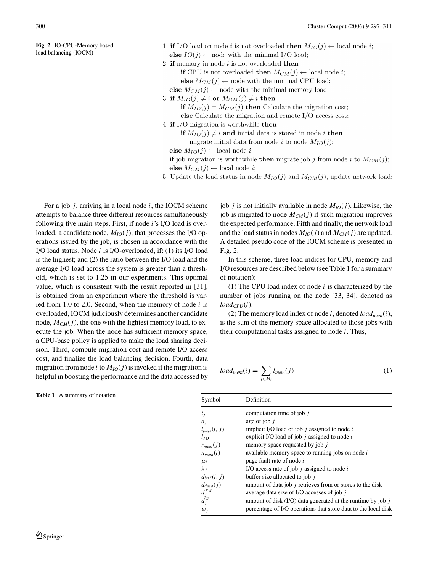**Fig. 2** IO-CPU-Memory based load balancing (IOCM)



else  $IO(i) \leftarrow$  node with the minimal I/O load; 2: if memory in node  $i$  is not overloaded then

**if** CPU is not overloaded **then**  $M_{CM}(j) \leftarrow$  local node *i*;

**else** 
$$
M_{CM}(j)
$$
  $\leftarrow$  node with the minimal CPU load;

else  $M_{CM}(i) \leftarrow$  node with the minimal memory load;

3: if  $M_{IO}(j) \neq i$  or  $M_{CM}(j) \neq i$  then

if  $M_{IO}(j) = M_{CM}(j)$  then Calculate the migration cost;

else Calculate the migration and remote  $I/O$  access cost;

4: if  $I/O$  migration is worthwhile then

**if**  $M_{IO}(j) \neq i$  and initial data is stored in node *i* then

migrate initial data from node i to node  $M_{IO}(j)$ ;

else  $M_{IO}(j)$  ← local node *i*;

- if job migration is worthwhile then migrate job j from node i to  $M_{CM}(j)$ ; else  $M_{CM}(j) \leftarrow$  local node *i*;
- 5: Update the load status in node  $M_{IO}(j)$  and  $M_{CM}(j)$ , update network load;

For a job *j*, arriving in a local node *i*, the IOCM scheme attempts to balance three different resources simultaneously following five main steps. First, if node *i*'s I/O load is overloaded, a candidate node,  $M_{10}(i)$ , that processes the I/O operations issued by the job, is chosen in accordance with the I/O load status. Node *i* is I/O-overloaded, if: (1) its I/O load is the highest; and (2) the ratio between the I/O load and the average I/O load across the system is greater than a threshold, which is set to 1.25 in our experiments. This optimal value, which is consistent with the result reported in [31], is obtained from an experiment where the threshold is varied from 1.0 to 2.0. Second, when the memory of node *i* is overloaded, IOCM judiciously determines another candidate node,  $M_{CM}(j)$ , the one with the lightest memory load, to execute the job. When the node has sufficient memory space, a CPU-base policy is applied to make the load sharing decision. Third, compute migration cost and remote I/O access cost, and finalize the load balancing decision. Fourth, data migration from node *i* to  $M_{IO}(j)$  is invoked if the migration is helpful in boosting the performance and the data accessed by

job *j* is not initially available in node  $M_{IO}(j)$ . Likewise, the job is migrated to node  $M_{CM}(j)$  if such migration improves the expected performance. Fifth and finally, the network load and the load status in nodes  $M_{IO}(j)$  and  $M_{CM}(j)$  are updated. A detailed pseudo code of the IOCM scheme is presented in Fig. 2.

In this scheme, three load indices for CPU, memory and I/O resources are described below (see Table 1 for a summary of notation):

(1) The CPU load index of node *i* is characterized by the number of jobs running on the node [33, 34], denoted as  $load_{CPU}(i)$ .

(2) The memory load index of node *i*, denoted  $load_{mem}(i)$ , is the sum of the memory space allocated to those jobs with their computational tasks assigned to node *i*. Thus,

$$
load_{mem}(i) = \sum_{j \in M_i} l_{mem}(j)
$$
 (1)

Table 1 A summary of notation

| Symbol                     | Definition                                                     |
|----------------------------|----------------------------------------------------------------|
| $t_i$                      | computation time of job $j$                                    |
| $a_i$                      | age of job j                                                   |
| $l_{page}(i, j)$           | implicit I/O load of job $\dot{j}$ assigned to node $\dot{i}$  |
| $l_{10}$                   | explicit I/O load of job $\dot{j}$ assigned to node $\dot{i}$  |
| $r_{mem}(j)$               | memory space requested by job j                                |
| $n_{mem}(i)$               | available memory space to running jobs on node i               |
| $\mu_i$                    | page fault rate of node i                                      |
| $\lambda_i$                | I/O access rate of job $i$ assigned to node $i$                |
| $d_{buf}(i, j)$            | buffer size allocated to job j                                 |
| $d_{data}(i)$              | amount of data job $j$ retrieves from or stores to the disk    |
|                            | average data size of I/O accesses of job $\dot{i}$             |
| $\frac{d_j^{RW}}{d_j^{W}}$ | amount of disk $(I/O)$ data generated at the runtime by job j  |
| $w_i$                      | percentage of I/O operations that store data to the local disk |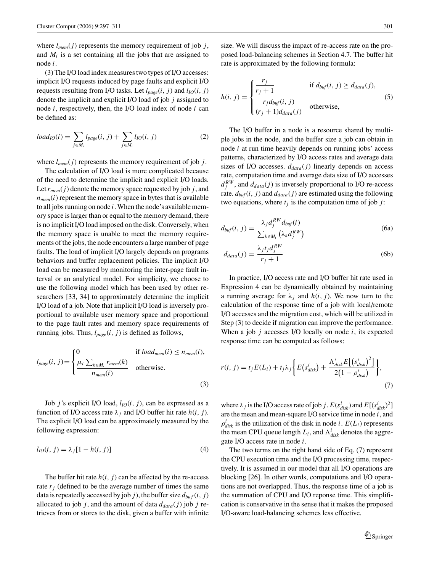where  $l_{mem}(j)$  represents the memory requirement of job *j*, and  $M_i$  is a set containing all the jobs that are assigned to node *i*.

(3) The I/O load index measures two types of I/O accesses: implicit I/O requests induced by page faults and explicit I/O requests resulting from I/O tasks. Let  $l_{page}(i, j)$  and  $l_{IO}(i, j)$ denote the implicit and explicit I/O load of job *j* assigned to node *i*, respectively, then, the I/O load index of node *i* can be defined as:

$$
load_{IO}(i) = \sum_{j \in M_i} l_{page}(i, j) + \sum_{j \in M_i} l_{IO}(i, j)
$$
 (2)

where  $l_{mem}(j)$  represents the memory requirement of job  $j$ .

The calculation of I/O load is more complicated because of the need to determine the implicit and explicit I/O loads. Let  $r_{mem}(j)$  denote the memory space requested by job  $j$ , and  $n_{mem}(i)$  represent the memory space in bytes that is available to all jobs running on node *i*. When the node's available memory space is larger than or equal to the memory demand, there is no implicit I/O load imposed on the disk. Conversely, when the memory space is unable to meet the memory requirements of the jobs, the node encounters a large number of page faults. The load of implicit I/O largely depends on programs behaviors and buffer replacement policies. The implicit I/O load can be measured by monitoring the inter-page fault interval or an analytical model. For simplicity, we choose to use the following model which has been used by other researchers [33, 34] to approximately determine the implicit I/O load of a job. Note that implicit I/O load is inversely proportional to available user memory space and proportional to the page fault rates and memory space requirements of running jobs. Thus,  $l_{page}(i, j)$  is defined as follows,

$$
l_{page}(i, j) = \begin{cases} 0 & \text{if } load_{mem}(i) \le n_{mem}(i), \\ \frac{\mu_i \sum_{k \in M_i} r_{mem}(k)}{n_{mem}(i)} & \text{otherwise.} \end{cases}
$$
(3)

Job *j*'s explicit I/O load,  $l_{IO}(i, j)$ , can be expressed as a function of I/O access rate  $\lambda_i$  and I/O buffer hit rate  $h(i, j)$ . The explicit I/O load can be approximately measured by the following expression:

$$
l_{IO}(i, j) = \lambda_j [1 - h(i, j)] \tag{4}
$$

The buffer hit rate  $h(i, j)$  can be affected by the re-access rate  $r_i$  (defined to be the average number of times the same data is repeatedly accessed by job *j*), the buffer size  $d_{buf}(i, j)$ allocated to job *j*, and the amount of data  $d_{data}(j)$  job *j* retrieves from or stores to the disk, given a buffer with infinite size. We will discuss the impact of re-access rate on the proposed load-balancing schemes in Section 4.7. The buffer hit rate is approximated by the following formula:

$$
h(i, j) = \begin{cases} \frac{r_j}{r_j + 1} & \text{if } d_{buf}(i, j) \ge d_{data}(j), \\ \frac{r_j d_{buf}(i, j)}{(r_j + 1) d_{data}(j)} & \text{otherwise,} \end{cases} \tag{5}
$$

The I/O buffer in a node is a resource shared by multiple jobs in the node, and the buffer size a job can obtain in node *i* at run time heavily depends on running jobs' access patterns, characterized by I/O access rates and average data sizes of I/O accesses.  $d_{data}(j)$  linearly depends on access rate, computation time and average data size of I/O accesses  $d_j^{RW}$ , and  $d_{data}(j)$  is inversely proportional to I/O re-access rate.  $d_{buf}(i, j)$  and  $d_{data}(j)$  are estimated using the following two equations, where  $t_j$  is the computation time of job  $j$ :

$$
d_{buf}(i, j) = \frac{\lambda_j d_j^{RW} d_{buf}(i)}{\sum_{k \in M_i} (\lambda_k d_j^{RW})}
$$
(6a)

$$
d_{data}(j) = \frac{\lambda_j t_j d_j^{RW}}{r_j + 1}
$$
 (6b)

In practice, I/O access rate and I/O buffer hit rate used in Expression 4 can be dynamically obtained by maintaining a running average for  $\lambda_j$  and  $h(i, j)$ . We now turn to the calculation of the response time of a job with local/remote I/O accesses and the migration cost, which will be utilized in Step (3) to decide if migration can improve the performance. When a job *j* accesses I/O locally on node *i*, its expected response time can be computed as follows:

$$
r(i, j) = t_j E(L_i) + t_j \lambda_j \left\{ E\left(s_{disk}^i\right) + \frac{\Lambda_{disk}^i E\left[\left(s_{disk}^i\right)^2\right]}{2\left(1 - \rho_{disk}^i\right)}\right\},\tag{7}
$$

where  $\lambda_j$  is the I/O access rate of job *j*.  $E(s_{disk}^i)$  and  $E[(s_{disk}^i)^2]$ are the mean and mean-square I/O service time in node *i*, and  $\rho_{disk}^i$  is the utilization of the disk in node *i*.  $E(L_i)$  represents the mean CPU queue length  $L_i$ , and  $\Lambda^i_{disk}$  denotes the aggregate I/O access rate in node *i*.

The two terms on the right hand side of Eq. (7) represent the CPU execution time and the I/O processing time, respectively. It is assumed in our model that all I/O operations are blocking [26]. In other words, computations and I/O operations are not overlapped. Thus, the response time of a job is the summation of CPU and I/O reponse time. This simplification is conservative in the sense that it makes the proposed I/O-aware load-balancing schemes less effective.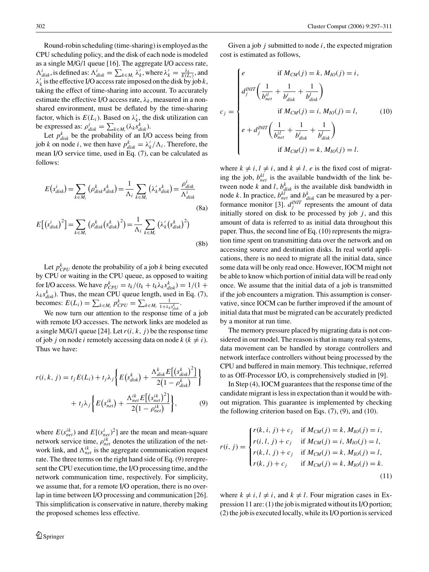Round-robin scheduling (time-sharing) is employed as the CPU scheduling policy, and the disk of each node is modeled as a single M/G/1 queue [16]. The aggregate I/O access rate,  $\Lambda_{disk}^i$ , is defined as:  $\Lambda_{disk}^i = \sum_{k \in M_i} \lambda_k^i$ , where  $\lambda_k^i = \frac{\lambda_k}{E(L_i)}$ , and  $\lambda'_k$  is the effective I/O access rate imposed on the disk by job *k*, taking the effect of time-sharing into account. To accurately estimate the effective I/O access rate,  $\lambda_k$ , measured in a nonshared environment, must be deflated by the time-sharing factor, which is  $E(L_i)$ . Based on  $\lambda'_k$ , the disk utilization can be expressed as:  $\rho_{disk}^i = \sum_{k \in M_i} (\lambda_k s_{disk}^k)$ .

Let  $p_{disk}^k$  be the probability of an I/O access being from job *k* on node *i*, we then have  $p_{disk}^k = \lambda_k'/\Lambda_i$ . Therefore, the mean I/O service time, used in Eq. (7), can be calculated as follows:

$$
E(s_{disk}^i) = \sum_{k \in M_i} (\rho_{disk}^k s_{disk}^k) = \frac{1}{\Lambda_i} \sum_{k \in M_i} (\lambda_k' s_{disk}^k) = \frac{\rho_{disk}^i}{\Lambda_{disk}^i}
$$
(8a)

$$
E\left[\left(s_{disk}^i\right)^2\right] = \sum_{k \in M_i} \left(\rho_{disk}^k \left(s_{disk}^k\right)^2\right) = \frac{1}{\Lambda_i} \sum_{k \in M_i} \left(\lambda_k' \left(s_{disk}^k\right)^2\right)
$$
\n(8b)

Let  $p_{CPU}^k$  denote the probability of a job *k* being executed by CPU or waiting in the CPU queue, as opposed to waiting for I/O access. We have  $p_{CPU}^k = t_k / (t_k + t_k \lambda_k s_{disk}^k) = 1 / (1 +$  $\lambda_k s_{disk}^k$ ). Thus, the mean CPU queue length, used in Eq. (7), becomes:  $E(L_i) = \sum_{k \in M_i} p_{CPU}^k = \sum_{k \in M_i} \frac{1}{1 + \lambda_k s_{disk}^k}$ .

We now turn our attention to the response time of a job with remote I/O accesses. The network links are modeled as a single M/G/1 queue [24]. Let  $r(i, k, j)$  be the response time of job *j* on node *i* remotely accessing data on node  $k$  ( $k \neq i$ ). Thus we have:

$$
r(i, k, j) = t_j E(L_i) + t_j \lambda_j \left\{ E(s_{disk}^k) + \frac{\Lambda_{disk}^k E[(s_{disk}^k)^2]}{2(1 - \rho_{disk}^k)} \right\} + t_j \lambda_j \left\{ E(s_{net}^{ik}) + \frac{\Lambda_{net}^{ik} E[(s_{net}^{ik})^2]}{2(1 - \rho_{net}^{ik})} \right\},
$$
(9)

where  $E(s_{net}^i)$  and  $E[(s_{net}^i)^2]$  are the mean and mean-square network service time,  $\rho_{net}^{ik}$  denotes the utilization of the network link, and  $\Lambda_{net}^{ik}$  is the aggregate communication request rate. The three terms on the right hand side of Eq. (9) rerepresent the CPU execution time, the I/O processing time, and the network communication time, respectively. For simplicity, we assume that, for a remote I/O operation, there is no overlap in time between I/O processing and communication [26]. This simplification is conservative in nature, thereby making the proposed schemes less effective.

Given a job *i* submitted to node *i*, the expected migration cost is estimated as follows,

$$
c_{j} = \begin{cases} e & \text{if } M_{CM}(j) = k, M_{IO}(j) = i, \\ d_{j}^{INT} \left( \frac{1}{b_{net}^{il}} + \frac{1}{b_{disk}^{i}} + \frac{1}{b_{disk}^{l}} \right) \\ & \text{if } M_{CM}(j) = i, M_{IO}(j) = l, \\ e + d_{j}^{INT} \left( \frac{1}{b_{net}^{il}} + \frac{1}{b_{disk}^{i}} + \frac{1}{b_{disk}^{l}} \right) \\ & \text{if } M_{CM}(j) = k, M_{IO}(j) = l. \end{cases}
$$
 (10)

where  $k \neq i, l \neq i$ , and  $k \neq l$ . *e* is the fixed cost of migrating the job,  $b_{net}^{kl}$  is the available bandwidth of the link between node *k* and *l*,  $b_{disk}^{k}$  is the available disk bandwidth in node *k*. In practice,  $b_{net}^{kl}$  and  $b_{disk}^{k}$  can be measured by a performance monitor [3].  $d_j^{INT}$  represents the amount of data initially stored on disk to be processed by job *j*, and this amount of data is referred to as initial data throughout this paper. Thus, the second line of Eq. (10) represents the migration time spent on transmitting data over the network and on accessing source and destination disks. In real world applications, there is no need to migrate all the initial data, since some data will be only read once. However, IOCM might not be able to know which portion of initial data will be read only once. We assume that the initial data of a job is transmitted if the job encounters a migration. This assumption is conservative, since IOCM can be further improved if the amount of initial data that must be migrated can be accurately predicted by a monitor at run time.

The memory pressure placed by migrating data is not considered in our model. The reason is that in many real systems, data movement can be handled by storage controllers and network interface controllers without being processed by the CPU and buffered in main memory. This technique, referred to as Off-Processor I/O, is comprehensively studied in [9].

In Step (4), IOCM guarantees that the response time of the candidate migrant is less in expectation than it would be without migration. This guarantee is implemented by checking the following criterion based on Eqs.  $(7)$ ,  $(9)$ , and  $(10)$ .

$$
r(i, j) = \begin{cases} r(k, i, j) + c_j & \text{if } M_{CM}(j) = k, M_{IO}(j) = i, \\ r(i, l, j) + c_j & \text{if } M_{CM}(j) = i, M_{IO}(j) = l, \\ r(k, l, j) + c_j & \text{if } M_{CM}(j) = k, M_{IO}(j) = l, \\ r(k, j) + c_j & \text{if } M_{CM}(j) = k, M_{IO}(j) = k. \end{cases}
$$
\n(11)

where  $k \neq i, l \neq i$ , and  $k \neq l$ . Four migration cases in Expression 11 are: (1) the job is migrated without its I/O portion; (2) the job is executed locally, while its I/O portion is serviced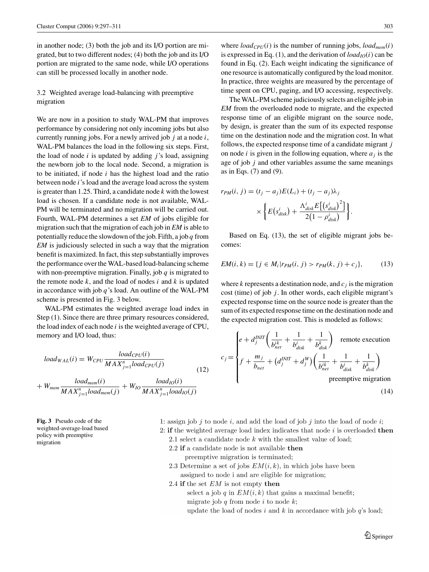in another node; (3) both the job and its I/O portion are migrated, but to two different nodes; (4) both the job and its I/O portion are migrated to the same node, while I/O operations can still be processed locally in another node.

# 3.2 Weighted average load-balancing with preemptive migration

We are now in a position to study WAL-PM that improves performance by considering not only incoming jobs but also currently running jobs. For a newly arrived job *j* at a node *i*, WAL-PM balances the load in the following six steps. First, the load of node *i* is updated by adding *j*'s load, assigning the newborn job to the local node. Second, a migration is to be initiated, if node *i* has the highest load and the ratio between node *i*'s load and the average load across the system is greater than 1.25. Third, a candidate node *k* with the lowest load is chosen. If a candidate node is not available, WAL-PM will be terminated and no migration will be carried out. Fourth, WAL-PM determines a set *EM* of jobs eligible for migration such that the migration of each job in *EM* is able to potentially reduce the slowdown of the job. Fifth, a job *q* from *EM* is judiciously selected in such a way that the migration benefit is maximized. In fact, this step substantially improves the performance over the WAL-based load-balancing scheme with non-preemptive migration. Finally, job *q* is migrated to the remote node *k*, and the load of nodes *i* and *k* is updated in accordance with job *q*'s load. An outline of the WAL-PM scheme is presented in Fig. 3 below.

WAL-PM estimates the weighted average load index in Step (1). Since there are three primary resources considered, the load index of each node *i* is the weighted average of CPU, memory and I/O load, thus:

$$
load_{WAL}(i) = W_{CPU} \frac{load_{CPU}(i)}{MAX_{j=1}^n load_{CPU}(j)}
$$
  
+ 
$$
W_{mem} \frac{load_{mem}(i)}{MAX_{j=1}^n load_{mem}(j)} + W_{IO} \frac{load_{IO}(i)}{MAX_{j=1}^n load_{IO}(j)}
$$
 (12)

where  $load_{CPU}(i)$  is the number of running jobs,  $load_{mem}(i)$ is expressed in Eq. (1), and the derivation of  $load_{10}(i)$  can be found in Eq. (2). Each weight indicating the significance of one resource is automatically configured by the load monitor. In practice, three weights are measured by the percentage of time spent on CPU, paging, and I/O accessing, respectively.

The WAL-PM scheme judiciously selects an eligible job in *EM* from the overloaded node to migrate, and the expected response time of an eligible migrant on the source node, by design, is greater than the sum of its expected response time on the destination node and the migration cost. In what follows, the expected response time of a candidate migrant *j* on node *i* is given in the following equation, where *aj* is the age of job *j* and other variables assume the same meanings as in Eqs. (7) and (9).

$$
r_{PM}(i, j) = (t_j - a_j)E(L_i) + (t_j - a_j)\lambda_j
$$

$$
\times \left\{ E\left(s_{disk}^i\right) + \frac{\Lambda_{disk}^i E\left[\left(s_{disk}^i\right)^2\right]}{2\left(1 - \rho_{disk}^i\right)} \right\}.
$$

Based on Eq. (13), the set of eligible migrant jobs becomes:

$$
EM(i, k) = \{ j \in M_i | r_{PM}(i, j) > r_{PM}(k, j) + c_j \},
$$
 (13)

where  $k$  represents a destination node, and  $c_i$  is the migration cost (time) of job *j*. In other words, each eligible migrant's expected response time on the source node is greater than the sum of its expected response time on the destination node and the expected migration cost. This is modeled as follows:

$$
c_j = \begin{cases} e + d_j^{INT} \left( \frac{1}{b_{net}^{ik}} + \frac{1}{b_{disk}^i} + \frac{1}{b_{disk}^k} \right) & \text{remote execution} \\ f + \frac{m_j}{b_{net}} + (d_j^{INT} + d_j^W) \left( \frac{1}{b_{net}^{ik}} + \frac{1}{b_{disk}^i} + \frac{1}{b_{disk}^k} \right) \\ & \text{preemptive migration} \end{cases}
$$

(14)

**Fig. 3** Pseudo code of the weighted-average-load based policy with preemptive migration

- 1: assign job  $j$  to node  $i$ , and add the load of job  $j$  into the load of node  $i$ ;
- 2: if the weighted average load index indicates that node  $i$  is overloaded then 2.1 select a candidate node  $k$  with the smallest value of load;
	- 2.2 if a candidate node is not available then preemptive migration is terminated;
	- 2.3 Determine a set of jobs  $EM(i, k)$ , in which jobs have been assigned to node i and are eligible for migration;
	- 2.4 if the set  $EM$  is not empty then

select a job q in  $EM(i, k)$  that gains a maximal benefit; migrate job  $q$  from node  $i$  to node  $k$ ;

update the load of nodes  $i$  and  $k$  in accordance with job  $q$ 's load;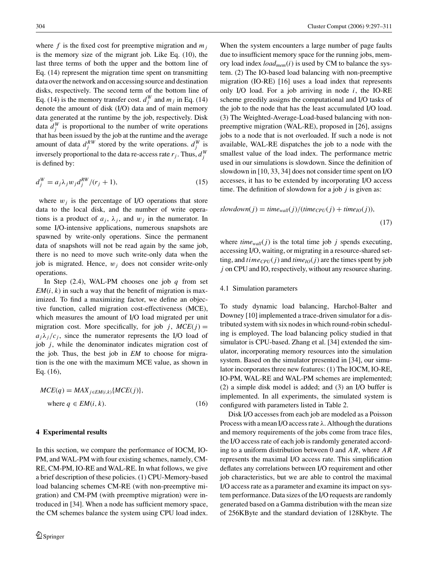where  $f$  is the fixed cost for preemptive migration and  $m_i$ is the memory size of the migrant job. Like Eq. (10), the last three terms of both the upper and the bottom line of Eq. (14) represent the migration time spent on transmitting data over the network and on accessing source and destination disks, respectively. The second term of the bottom line of Eq. (14) is the memory transfer cost.  $d_j^W$  and  $m_j$  in Eq. (14) denote the amount of disk (I/O) data and of main memory data generated at the runtime by the job, respectively. Disk data  $d_j^W$  is proportional to the number of write operations that has been issued by the job at the runtime and the average amount of data  $d_j^{\{RW\}}$  stored by the write operations.  $d_j^{\{W\}}$  is inversely proportional to the data re-access rate  $r_j$ . Thus,  $d_j^W$ is defined by:

$$
d_j^W = a_j \lambda_j w_j d_j^{RW} / (r_j + 1), \qquad (15)
$$

where  $w_i$  is the percentage of I/O operations that store data to the local disk, and the number of write operations is a product of  $a_j$ ,  $\lambda_j$ , and  $w_j$  in the numerator. In some I/O-intensive applications, numerous snapshots are spawned by write-only operations. Since the permanent data of snapshots will not be read again by the same job, there is no need to move such write-only data when the job is migrated. Hence, w*<sup>j</sup>* does not consider write-only operations.

In Step (2.4), WAL-PM chooses one job *q* from set  $EM(i, k)$  in such a way that the benefit of migration is maximized. To find a maximizing factor, we define an objective function, called migration cost-effectiveness (MCE), which measures the amount of I/O load migrated per unit migration cost. More specifically, for job *j*,  $MCE(j) =$  $a_j\lambda_j/c_j$ , since the numerator represents the I/O load of job *j*, while the denominator indicates migration cost of the job. Thus, the best job in *EM* to choose for migration is the one with the maximum MCE value, as shown in Eq. (16),

$$
MCE(q) = MAX_{j \in EM(i,k)} \{MCE(j)\},\
$$
  
where  $q \in EM(i,k).$  (16)

#### **4 Experimental results**

In this section, we compare the performance of IOCM, IO-PM, and WAL-PM with four existing schemes, namely, CM-RE, CM-PM, IO-RE and WAL-RE. In what follows, we give a brief description of these policies. (1) CPU-Memory-based load balancing schemes CM-RE (with non-preemptive migration) and CM-PM (with preemptive migration) were introduced in [34]. When a node has sufficient memory space, the CM schemes balance the system using CPU load index.

When the system encounters a large number of page faults due to insufficient memory space for the running jobs, memory load index *loadmem*(*i*) is used by CM to balance the system. (2) The IO-based load balancing with non-preemptive migration (IO-RE) [16] uses a load index that represents only I/O load. For a job arriving in node *i*, the IO-RE scheme greedily assigns the computational and I/O tasks of the job to the node that has the least accumulated I/O load. (3) The Weighted-Average-Load-based balancing with nonpreemptive migration (WAL-RE), proposed in [26], assigns jobs to a node that is not overloaded. If such a node is not available, WAL-RE dispatches the job to a node with the smallest value of the load index. The performance metric used in our simulations is slowdown. Since the definition of slowdown in [10, 33, 34] does not consider time spent on I/O accesses, it has to be extended by incorporating I/O access time. The definition of slowdown for a job *j* is given as:

$$
slowdown(j) = time_{wall}(j)/(time_{CPU}(j) + time_{IO}(j)),
$$
\n(17)

where  $time_{wall}(j)$  is the total time job *j* spends executing, accessing I/O, waiting, or migrating in a resource-shared setting, and  $time_{CPU}(j)$  and  $time_{IO}(j)$  are the times spent by job *j* on CPU and IO, respectively, without any resource sharing.

## 4.1 Simulation parameters

To study dynamic load balancing, Harchol-Balter and Downey [10] implemented a trace-driven simulator for a distributed system with six nodes in which round-robin scheduling is employed. The load balancing policy studied in that simulator is CPU-based. Zhang et al. [34] extended the simulator, incorporating memory resources into the simulation system. Based on the simulator presented in [34], our simulator incorporates three new features: (1) The IOCM, IO-RE, IO-PM, WAL-RE and WAL-PM schemes are implemented; (2) a simple disk model is added; and (3) an I/O buffer is implemented. In all experiments, the simulated system is configured with parameters listed in Table 2.

Disk I/O accesses from each job are modeled as a Poisson Process with a mean I/O access rate  $\lambda$ . Although the durations and memory requirements of the jobs come from trace files, the I/O access rate of each job is randomly generated according to a uniform distribution between 0 and *AR*, where *AR* represents the maximal I/O access rate. This simplification deflates any correlations between I/O requirement and other job characteristics, but we are able to control the maximal I/O access rate as a parameter and examine its impact on system performance. Data sizes of the I/O requests are randomly generated based on a Gamma distribution with the mean size of 256KByte and the standard deviation of 128Kbyte. The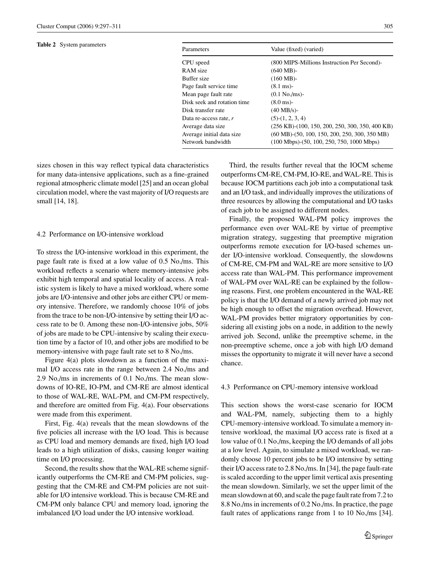#### **Table 2** System parameters

| Parameters                  | Value (fixed) (varied)                                              |
|-----------------------------|---------------------------------------------------------------------|
| CPU speed                   | (800 MIPS-Millions Instruction Per Second)-                         |
| RAM size                    | $(640 \text{ MB})$ -                                                |
| Buffer size                 | $(160 \text{ MB})$ -                                                |
| Page fault service time     | $(8.1 \text{ ms})$ -                                                |
| Mean page fault rate        | $(0.1$ No./ms)-                                                     |
| Disk seek and rotation time | $(8.0 \,\mathrm{ms})$ -                                             |
| Disk transfer rate          | $(40 \text{ MB/s})$ -                                               |
| Data re-access rate, $r$    | $(5)-(1, 2, 3, 4)$                                                  |
| Average data size           | $(256 \text{ KB}) - (100, 150, 200, 250, 300, 350, 400 \text{ KB})$ |
| Average initial data size   | $(60 \text{ MB})$ - $(50, 100, 150, 200, 250, 300, 350 \text{ MB})$ |
| Network bandwidth           | $(100 \text{ Mbps})$ - $(50, 100, 250, 750, 1000 \text{ Mbps})$     |

sizes chosen in this way reflect typical data characteristics for many data-intensive applications, such as a fine-grained regional atmospheric climate model [25] and an ocean global circulation model, where the vast majority of I/O requests are small [14, 18].

#### 4.2 Performance on I/O-intensive workload

To stress the I/O-intensive workload in this experiment, the page fault rate is fixed at a low value of 0.5 No./ms. This workload reflects a scenario where memory-intensive jobs exhibit high temporal and spatial locality of access. A realistic system is likely to have a mixed workload, where some jobs are I/O-intensive and other jobs are either CPU or memory intensive. Therefore, we randomly choose 10% of jobs from the trace to be non-I/O-intensive by setting their I/O access rate to be 0. Among these non-I/O-intensive jobs, 50% of jobs are made to be CPU-intensive by scaling their execution time by a factor of 10, and other jobs are modified to be memory-intensive with page fault rate set to 8 No./ms.

Figure 4(a) plots slowdown as a function of the maximal I/O access rate in the range between 2.4 No./ms and 2.9 No./ms in increments of 0.1 No./ms. The mean slowdowns of IO-RE, IO-PM, and CM-RE are almost identical to those of WAL-RE, WAL-PM, and CM-PM respectively, and therefore are omitted from Fig. 4(a). Four observations were made from this experiment.

First, Fig. 4(a) reveals that the mean slowdowns of the five policies all increase with the I/O load. This is because as CPU load and memory demands are fixed, high I/O load leads to a high utilization of disks, causing longer waiting time on I/O processing.

Second, the results show that the WAL-RE scheme significantly outperforms the CM-RE and CM-PM policies, suggesting that the CM-RE and CM-PM policies are not suitable for I/O intensive workload. This is because CM-RE and CM-PM only balance CPU and memory load, ignoring the imbalanced I/O load under the I/O intensive workload.

Third, the results further reveal that the IOCM scheme outperforms CM-RE, CM-PM, IO-RE, and WAL-RE. This is because IOCM partitions each job into a computational task and an I/O task, and individually improves the utilizations of three resources by allowing the computational and I/O tasks of each job to be assigned to different nodes.

Finally, the proposed WAL-PM policy improves the performance even over WAL-RE by virtue of preemptive migration strategy, suggesting that preemptive migration outperforms remote execution for I/O-based schemes under I/O-intensive workload. Consequently, the slowdowns of CM-RE, CM-PM and WAL-RE are more sensitive to I/O access rate than WAL-PM. This performance improvement of WAL-PM over WAL-RE can be explained by the following reasons. First, one problem encountered in the WAL-RE policy is that the I/O demand of a newly arrived job may not be high enough to offset the migration overhead. However, WAL-PM provides better migratory opportunities by considering all existing jobs on a node, in addition to the newly arrived job. Second, unlike the preemptive scheme, in the non-preemptive scheme, once a job with high I/O demand misses the opportunity to migrate it will never have a second chance.

#### 4.3 Performance on CPU-memory intensive workload

This section shows the worst-case scenario for IOCM and WAL-PM, namely, subjecting them to a highly CPU-memory-intensive workload. To simulate a memory intensive workload, the maximal I/O access rate is fixed at a low value of 0.1 No./ms, keeping the I/O demands of all jobs at a low level. Again, to simulate a mixed workload, we randomly choose 10 percent jobs to be I/O intensive by setting their I/O access rate to 2.8 No./ms. In [34], the page fault-rate is scaled according to the upper limit vertical axis presenting the mean slowdown. Similarly, we set the upper limit of the mean slowdown at 60, and scale the page fault rate from 7.2 to 8.8 No./ms in increments of 0.2 No./ms. In practice, the page fault rates of applications range from 1 to 10 No./ms [34].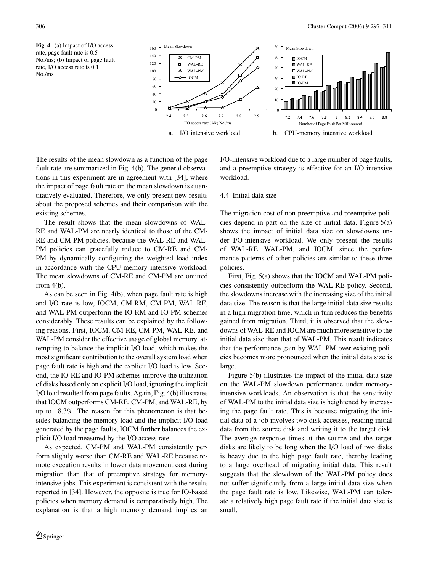**Fig. 4** (a) Impact of I/O access rate, page fault rate is 0.5 No./ms; (b) Impact of page fault rate, I/O access rate is 0.1 No./ms



The results of the mean slowdown as a function of the page fault rate are summarized in Fig. 4(b). The general observations in this experiment are in agreement with [34], where the impact of page fault rate on the mean slowdown is quantitatively evaluated. Therefore, we only present new results about the proposed schemes and their comparison with the existing schemes.

The result shows that the mean slowdowns of WAL-RE and WAL-PM are nearly identical to those of the CM-RE and CM-PM policies, because the WAL-RE and WAL-PM policies can gracefully reduce to CM-RE and CM-PM by dynamically configuring the weighted load index in accordance with the CPU-memory intensive workload. The mean slowdowns of CM-RE and CM-PM are omitted from  $4(b)$ .

As can be seen in Fig. 4(b), when page fault rate is high and I/O rate is low, IOCM, CM-RM, CM-PM, WAL-RE, and WAL-PM outperform the IO-RM and IO-PM schemes considerably. These results can be explained by the following reasons. First, IOCM, CM-RE, CM-PM, WAL-RE, and WAL-PM consider the effective usage of global memory, attempting to balance the implicit I/O load, which makes the most significant contribution to the overall system load when page fault rate is high and the explicit I/O load is low. Second, the IO-RE and IO-PM schemes improve the utilization of disks based only on explicit I/O load, ignoring the implicit I/O load resulted from page faults. Again, Fig. 4(b) illustrates that IOCM outperforms CM-RE, CM-PM, and WAL-RE, by up to 18.3%. The reason for this phenomenon is that besides balancing the memory load and the implicit I/O load generated by the page faults, IOCM further balances the explicit I/O load measured by the I/O access rate.

As expected, CM-PM and WAL-PM consistently perform slightly worse than CM-RE and WAL-RE because remote execution results in lower data movement cost during migration than that of preemptive strategy for memoryintensive jobs. This experiment is consistent with the results reported in [34]. However, the opposite is true for IO-based policies when memory demand is comparatively high. The explanation is that a high memory demand implies an

I/O-intensive workload due to a large number of page faults, and a preemptive strategy is effective for an I/O-intensive workload.

# 4.4 Initial data size

The migration cost of non-preemptive and preemptive policies depend in part on the size of initial data. Figure 5(a) shows the impact of initial data size on slowdowns under I/O-intensive workload. We only present the results of WAL-RE, WAL-PM, and IOCM, since the performance patterns of other policies are similar to these three policies.

First, Fig. 5(a) shows that the IOCM and WAL-PM policies consistently outperform the WAL-RE policy. Second, the slowdowns increase with the increasing size of the initial data size. The reason is that the large initial data size results in a high migration time, which in turn reduces the benefits gained from migration. Third, it is observed that the slowdowns of WAL-RE and IOCM are much more sensitive to the initial data size than that of WAL-PM. This result indicates that the performance gain by WAL-PM over existing policies becomes more pronounced when the initial data size is large.

Figure 5(b) illustrates the impact of the initial data size on the WAL-PM slowdown performance under memoryintensive workloads. An observation is that the sensitivity of WAL-PM to the initial data size is heightened by increasing the page fault rate. This is because migrating the initial data of a job involves two disk accesses, reading initial data from the source disk and writing it to the target disk. The average response times at the source and the target disks are likely to be long when the I/O load of two disks is heavy due to the high page fault rate, thereby leading to a large overhead of migrating initial data. This result suggests that the slowdown of the WAL-PM policy does not suffer significantly from a large initial data size when the page fault rate is low. Likewise, WAL-PM can tolerate a relatively high page fault rate if the initial data size is small.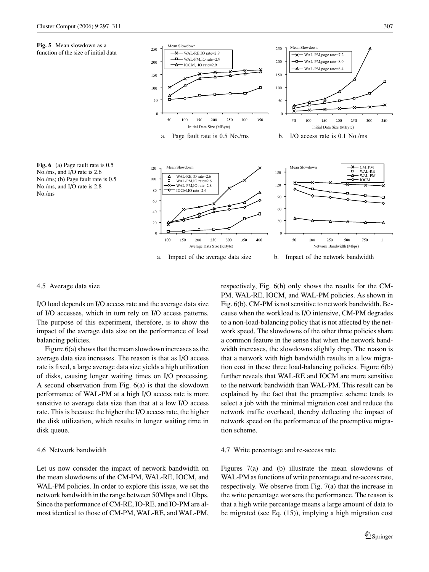

a. Impact of the average data size b. Impact of the network bandwidth

# No./ms, and I/O rate is 2.6 No./ms; (b) Page fault rate is 0.5 No./ms, and I/O rate is 2.8 No./ms

## 4.5 Average data size

I/O load depends on I/O access rate and the average data size of I/O accesses, which in turn rely on I/O access patterns. The purpose of this experiment, therefore, is to show the impact of the average data size on the performance of load balancing policies.

Figure 6(a) shows that the mean slowdown increases as the average data size increases. The reason is that as I/O access rate is fixed, a large average data size yields a high utilization of disks, causing longer waiting times on I/O processing. A second observation from Fig. 6(a) is that the slowdown performance of WAL-PM at a high I/O access rate is more sensitive to average data size than that at a low I/O access rate. This is because the higher the I/O access rate, the higher the disk utilization, which results in longer waiting time in disk queue.

# 4.6 Network bandwidth

Let us now consider the impact of network bandwidth on the mean slowdowns of the CM-PM, WAL-RE, IOCM, and WAL-PM policies. In order to explore this issue, we set the network bandwidth in the range between 50Mbps and 1Gbps. Since the performance of CM-RE, IO-RE, and IO-PM are almost identical to those of CM-PM, WAL-RE, and WAL-PM,

respectively, Fig. 6(b) only shows the results for the CM-PM, WAL-RE, IOCM, and WAL-PM policies. As shown in Fig. 6(b), CM-PM is not sensitive to network bandwidth. Because when the workload is I/O intensive, CM-PM degrades to a non-load-balancing policy that is not affected by the network speed. The slowdowns of the other three policies share a common feature in the sense that when the network bandwidth increases, the slowdowns slightly drop. The reason is that a network with high bandwidth results in a low migration cost in these three load-balancing policies. Figure 6(b) further reveals that WAL-RE and IOCM are more sensitive to the network bandwidth than WAL-PM. This result can be explained by the fact that the preemptive scheme tends to select a job with the minimal migration cost and reduce the network traffic overhead, thereby deflecting the impact of network speed on the performance of the preemptive migration scheme.

#### 4.7 Write percentage and re-access rate

Figures 7(a) and (b) illustrate the mean slowdowns of WAL-PM as functions of write percentage and re-access rate, respectively. We observe from Fig. 7(a) that the increase in the write percentage worsens the performance. The reason is that a high write percentage means a large amount of data to be migrated (see Eq. (15)), implying a high migration cost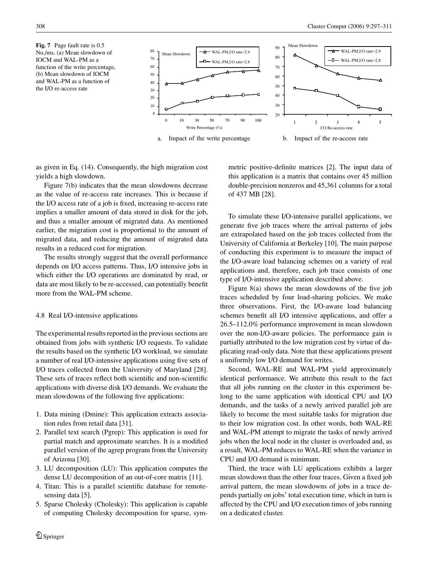**Fig. 7** Page fault rate is 0.5 No./ms. (a) Mean slowdown of IOCM and WAL-PM as a function of the write percentage, (b) Mean slowdown of IOCM and WAL-PM as a function of the I/O re-access rate



a. Impact of the write percentage b. Impact of the re-access rate

as given in Eq. (14). Consequently, the high migration cost yields a high slowdown.

Figure 7(b) indicates that the mean slowdowns decrease as the value of re-access rate increases. This is because if the I/O access rate of a job is fixed, increasing re-access rate implies a smaller amount of data stored in disk for the job, and thus a smaller amount of migrated data. As mentioned earlier, the migration cost is proportional to the amount of migrated data, and reducing the amount of migrated data results in a reduced cost for migration.

The results strongly suggest that the overall performance depends on I/O access patterns. Thus, I/O intensive jobs in which either the I/O operations are dominated by read, or data are most likely to be re-accessed, can potentially benefit more from the WAL-PM scheme.

# 4.8 Real I/O-intensive applications

The experimental results reported in the previous sections are obtained from jobs with synthetic I/O requests. To validate the results based on the synthetic I/O workload, we simulate a number of real I/O-intensive applications using five sets of I/O traces collected from the University of Maryland [28]. These sets of traces reflect both scientific and non-scientific applications with diverse disk I/O demands. We evaluate the mean slowdowns of the following five applications:

- 1. Data mining (Dmine): This application extracts association rules from retail data [31].
- 2. Parallel text search (Pgrep): This application is used for partial match and approximate searches. It is a modified parallel version of the agrep program from the University of Arizona [30].
- 3. LU decomposition (LU): This application computes the dense LU decomposition of an out-of-core matrix [11].
- 4. Titan: This is a parallel scientific database for remotesensing data [5].
- 5. Sparse Cholesky (Cholesky): This application is capable of computing Cholesky decomposition for sparse, sym-

metric positive-definite matrices [2]. The input data of this application is a matrix that contains over 45 million double-precision nonzeros and 45,361 columns for a total of 437 MB [28].

To simulate these I/O-intensive parallel applications, we generate five job traces where the arrival patterns of jobs are extrapolated based on the job traces collected from the University of California at Berkeley [10]. The main purpose of conducting this experiment is to measure the impact of the I/O-aware load balancing schemes on a variety of real applications and, therefore, each job trace consists of one type of I/O-intensive application described above.

Figure 8(a) shows the mean slowdowns of the five job traces scheduled by four load-sharing policies. We make three observations. First, the I/O-aware load balancing schemes benefit all I/O intensive applications, and offer a 26.5–112.0% performance improvement in mean slowdown over the non-I/O-aware policies. The performance gain is partially attributed to the low migration cost by virtue of duplicating read-only data. Note that these applications present a uniformly low I/O demand for writes.

Second, WAL-RE and WAL-PM yield approximately identical performance. We attribute this result to the fact that all jobs running on the cluster in this experiment belong to the same application with identical CPU and I/O demands, and the tasks of a newly arrived parallel job are likely to become the most suitable tasks for migration due to their low migration cost. In other words, both WAL-RE and WAL-PM attempt to migrate the tasks of newly arrived jobs when the local node in the cluster is overloaded and, as a result, WAL-PM reduces to WAL-RE when the variance in CPU and I/O demand is minimum.

Third, the trace with LU applications exhibits a larger mean slowdown than the other four traces. Given a fixed job arrival pattern, the mean slowdowns of jobs in a trace depends partially on jobs' total execution time, which in turn is affected by the CPU and I/O execution times of jobs running on a dedicated cluster.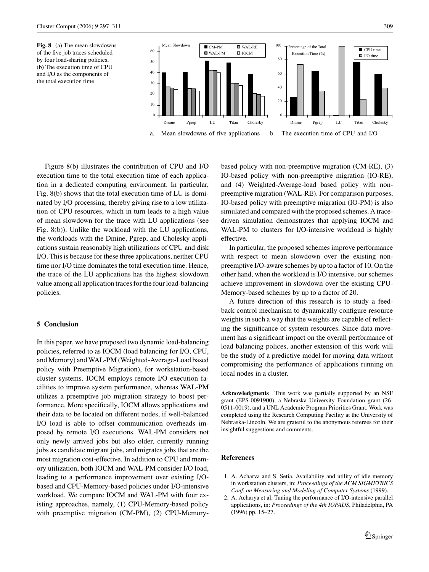**Fig. 8** (a) The mean slowdowns of the five job traces scheduled by four load-sharing policies, (b) The execution time of CPU and I/O as the components of the total execution time



Figure 8(b) illustrates the contribution of CPU and I/O execution time to the total execution time of each application in a dedicated computing environment. In particular, Fig. 8(b) shows that the total execution time of LU is dominated by I/O processing, thereby giving rise to a low utilization of CPU resources, which in turn leads to a high value of mean slowdown for the trace with LU applications (see Fig. 8(b)). Unlike the workload with the LU applications, the workloads with the Dmine, Pgrep, and Cholesky applications sustain reasonably high utilizations of CPU and disk I/O. This is because for these three applications, neither CPU time nor I/O time dominates the total execution time. Hence, the trace of the LU applications has the highest slowdown value among all application traces for the four load-balancing policies.

# **5 Conclusion**

In this paper, we have proposed two dynamic load-balancing policies, referred to as IOCM (load balancing for I/O, CPU, and Memory) and WAL-PM (Weighted-Average-Load based policy with Preemptive Migration), for workstation-based cluster systems. IOCM employs remote I/O execution facilities to improve system performance, whereas WAL-PM utilizes a preemptive job migration strategy to boost performance. More specifically, IOCM allows applications and their data to be located on different nodes, if well-balanced I/O load is able to offset communication overheads imposed by remote I/O executions. WAL-PM considers not only newly arrived jobs but also older, currently running jobs as candidate migrant jobs, and migrates jobs that are the most migration cost-effective. In addition to CPU and memory utilization, both IOCM and WAL-PM consider I/O load, leading to a performance improvement over existing I/Obased and CPU-Memory-based policies under I/O-intensive workload. We compare IOCM and WAL-PM with four existing approaches, namely, (1) CPU-Memory-based policy with preemptive migration (CM-PM), (2) CPU-Memory-

based policy with non-preemptive migration (CM-RE), (3) IO-based policy with non-preemptive migration (IO-RE), and (4) Weighted-Average-load based policy with nonpreemptive migration (WAL-RE). For comparison purposes, IO-based policy with preemptive migration (IO-PM) is also simulated and compared with the proposed schemes. A tracedriven simulation demonstrates that applying IOCM and WAL-PM to clusters for I/O-intensive workload is highly effective.

In particular, the proposed schemes improve performance with respect to mean slowdown over the existing nonpreemptive I/O-aware schemes by up to a factor of 10. On the other hand, when the workload is I/O intensive, our schemes achieve improvement in slowdown over the existing CPU-Memory-based schemes by up to a factor of 20.

A future direction of this research is to study a feedback control mechanism to dynamically configure resource weights in such a way that the weights are capable of reflecting the significance of system resources. Since data movement has a significant impact on the overall performance of load balancing polices, another extension of this work will be the study of a predictive model for moving data without compromising the performance of applications running on local nodes in a cluster.

**Acknowledgments** This work was partially supported by an NSF grant (EPS-0091900), a Nebraska University Foundation grant (26- 0511-0019), and a UNL Academic Program Priorities Grant. Work was completed using the Research Computing Facility at the University of Nebraska-Lincoln. We are grateful to the anonymous referees for their insightful suggestions and comments.

# **References**

- 1. A. Acharva and S. Setia, Availability and utility of idle memory in workstation clusters, in: *Proceedings of the ACM SIGMETRICS Conf. on Measuring and Modeling of Computer Systems* (1999).
- 2. A. Acharya et al, Tuning the performance of I/O-intensive parallel applications, in: *Proceedings of the 4th IOPADS*, Philadelphia, PA (1996) pp. 15–27.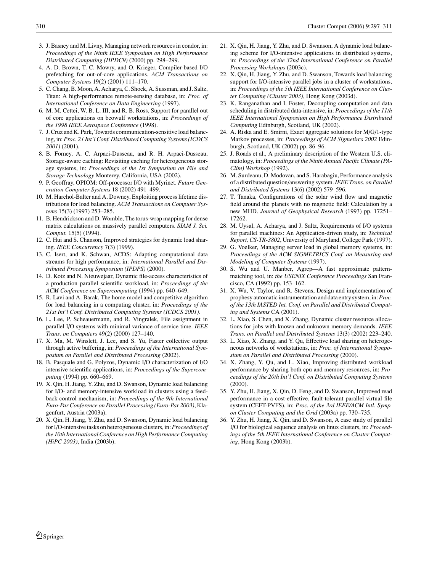- 3. J. Basney and M. Livny, Managing network resources in condor, in: *Proceedings of the Ninth IEEE Symposium on High Performance Distributed Computing (HPDC9)* (2000) pp. 298–299.
- 4. A. D. Brown, T. C. Mowry, and O. Krieger, Compiler-based I/O prefetching for out-of-core applications. *ACM Transactions on Computer Systems* 19(2) (2001) 111–170.
- 5. C. Chang, B. Moon, A. Acharya, C. Shock, A. Sussman, and J. Saltz, Titan: A high-performance remote-sensing database, in: *Proc. of International Conference on Data Engineering* (1997).
- 6. M. M. Cettei, W. B. L. III, and R. B. Ross, Support for parallel out of core applications on beowulf workstations, in: *Proceedings of the 1998 IEEE Aerospace Conference* (1998).
- 7. J. Cruz and K. Park, Towards communication-sensitive load balancing, in: *Proc. 21 Int'l Conf. Distributed Computing Systems (ICDCS 2001)* (2001).
- 8. B. Forney, A. C. Arpaci-Dusseau, and R. H. Arpaci-Dusseau, Storage-aware caching: Revisiting caching for heterogeneous storage systems, in: *Proceedings of the 1st Symposium on File and Storage Technology* Monterey, California, USA (2002).
- 9. P. Geoffray, OPIOM: Off-processor I/O with Myrinet. *Future Generation Computer Systems* 18 (2002) 491–499.
- 10. M. Harchol-Balter and A. Downey, Exploiting process lifetime distributions for load balancing. *ACM Transactions on Computer Systems* 15(3) (1997) 253–285.
- 11. B. Hendrickson and D. Womble, The torus-wrap mapping for dense matrix calculations on massively parallel computers. *SIAM J. Sci. Comput.* 15(5) (1994).
- 12. C. Hui and S. Chanson, Improved strategies for dynamic load sharing. *IEEE Concurrency* 7(3) (1999).
- 13. C. Isert, and K. Schwan, ACDS: Adapting computational data streams for high performance, in: *International Parallel and Distributed Processing Symposium (IPDPS)* (2000).
- 14. D. Kotz and N. Nieuwejaar, Dynamic file-access characteristics of a production parallel scientific workload, in: *Proceedings of the ACM Conference on Supercomputing* (1994) pp. 640–649.
- 15. R. Lavi and A. Barak, The home model and competitive algorithm for load balancing in a computing cluster, in: *Proceedings of the 21st Int'l Conf. Distributed Computing Systems (ICDCS 2001)*.
- 16. L. Lee, P. Scheauermann, and R. Vingralek, File assignment in parallel I/O systems with minimal variance of service time. *IEEE Trans. on Computers* 49(2) (2000) 127–140.
- 17. X. Ma, M. Winslett, J. Lee, and S. Yu, Faster collective output through active buffering, in: *Proceedings of the International Symposium on Parallel and Distributed Processing* (2002).
- 18. B. Pasquale and G. Polyzos, Dynamic I/O characterization of I/O intensive scientific applications, in: *Proceedings of the Supercomputing* (1994) pp. 660–669.
- 19. X. Qin, H. Jiang, Y. Zhu, and D. Swanson, Dynamic load balancing for I/O- and memory-intensive workload in clusters using a feedback control mechanism, in: *Proceedings of the 9th International Euro-Par Conference on Parallel Processing (Euro-Par 2003)*, Klagenfurt, Austria (2003a).
- 20. X. Qin, H. Jiang, Y. Zhu, and D. Swanson, Dynamic load balancing for I/O-intensive tasks on heterogeneous clusters, in:*Proceedings of the 10th International Conference on High Performance Computing (HiPC 2003)*, India (2003b).
- 21. X. Qin, H. Jiang, Y. Zhu, and D. Swanson, A dynamic load balancing scheme for I/O-intensive applications in distributed systems, in: *Proceedings of the 32nd International Conference on Parallel Processing Workshops* (2003c).
- 22. X. Qin, H. Jiang, Y. Zhu, and D. Swanson, Towards load balancing support for I/O-intensive parallel jobs in a cluster of workstations, in: *Proceedings of the 5th IEEE International Conference on Cluster Computing (Cluster 2003)*, Hong Kong (2003d).
- 23. K. Ranganathan and I. Foster, Decoupling computation and data scheduling in distributed data-intensive, in: *Proceedings of the 11th IEEE International Symposium on High Performance Distributed Computing* Edinburgh, Scotland, UK (2002).
- 24. A. Riska and E. Smirni, Exact aggregate solutions for M/G/1-type Markov processes, in: *Proceedings of ACM Sigmetircs 2002* Edinburgh, Scotland, UK (2002) pp. 86–96.
- 25. J. Roads et al., A preliminary description of the Western U.S. climatology, in: *Proceedings of the Ninth Annual Pacific Climate (PA-Clim) Workshop* (1992).
- 26. M. Surdeanu, D. Modovan, and S. Harabagiu, Performance analysis of a distributed question/answering system.*IEEE Trans. on Parallel and Distributed Systems* 13(6) (2002) 579–596.
- 27. T. Tanaka, Configurations of the solar wind flow and magnetic field around the planets with no magnetic field: Calculation by a new MHD. *Journal of Geophysical Research* (1993) pp. 17251– 17262.
- 28. M. Uysal, A. Acharya, and J. Saltz, Requirements of I/O systems for parallel machines: An Application-driven study, in: *Technical Report, CS-TR-3802*, University of Maryland, College Park (1997).
- 29. G. Voelker, Managing server load in global memory systems, in: *Proceedings of the ACM SIGMETRICS Conf. on Measuring and Modeling of Computer Systems* (1997).
- 30. S. Wu and U. Manber, Agrep—A fast approximate patternmatching tool, in: *the USENIX Conference Proceedings* San Francisco, CA (1992) pp. 153–162.
- 31. X. Wu, V. Taylor, and R. Stevens, Design and implementation of prophesy automatic instrumentation and data entry system, in:*Proc. of the 13th IASTED Int. Conf. on Parallel and Distributed Computing and Systems* CA (2001).
- 32. L. Xiao, S. Chen, and X. Zhang, Dynamic cluster resource allocations for jobs with known and unknown memory demands. *IEEE Trans. on Parallel and Distributed Systems* 13(3) (2002) 223–240.
- 33. L. Xiao, X. Zhang, and Y. Qu, Effective load sharing on heterogeneous networks of workstations, in: *Proc. of International Symposium on Parallel and Distributed Processing* (2000).
- 34. X. Zhang, Y. Qu, and L. Xiao, Improving distributed workload performance by sharing both cpu and memory resources, in: *Proceedings of the 20th Int'l Conf. on Distributed Computing Systems* (2000).
- 35. Y. Zhu, H. Jiang, X. Qin, D. Feng, and D. Swanson, Improved read performance in a cost-effective, fault-tolerant parallel virtual file system (CEFT-PVFS), in: *Proc. of the 3rd IEEE/ACM Intl. Symp. on Cluster Computing and the Grid* (2003a) pp. 730–735.
- 36. Y. Zhu, H. Jiang, X. Qin, and D. Swanson, A case study of parallel I/O for biological sequence analysis on linux clusters, in: *Proceedings of the 5th IEEE International Conference on Cluster Computing*, Hong Kong (2003b).